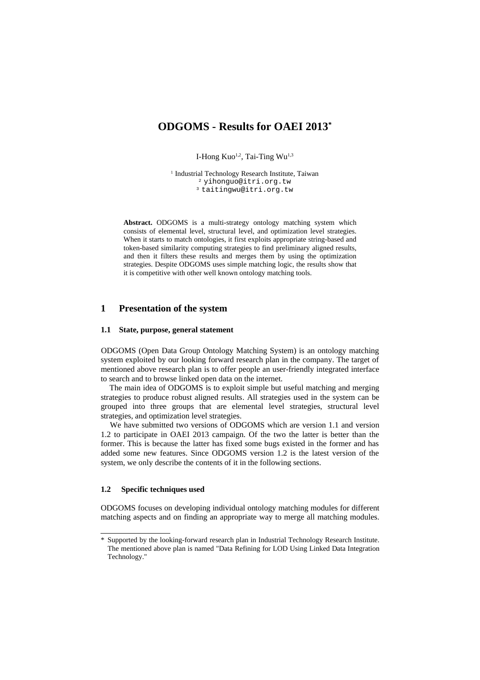# **ODGOMS - Results for OAEI 2013[\\*](#page-0-0)**

I-Hong Kuo<sup>1,2</sup>, Tai-Ting Wu<sup>1,3</sup>

<sup>1</sup> Industrial Technology Research Institute, Taiwan <sup>2</sup>yihonguo@itri.org.tw <sup>3</sup>taitingwu@itri.org.tw

**Abstract.** ODGOMS is a multi-strategy ontology matching system which consists of elemental level, structural level, and optimization level strategies. When it starts to match ontologies, it first exploits appropriate string-based and token-based similarity computing strategies to find preliminary aligned results, and then it filters these results and merges them by using the optimization strategies. Despite ODGOMS uses simple matching logic, the results show that it is competitive with other well known ontology matching tools.

# **1 Presentation of the system**

#### **1.1 State, purpose, general statement**

ODGOMS (Open Data Group Ontology Matching System) is an ontology matching system exploited by our looking forward research plan in the company. The target of mentioned above research plan is to offer people an user-friendly integrated interface to search and to browse linked open data on the internet.

The main idea of ODGOMS is to exploit simple but useful matching and merging strategies to produce robust aligned results. All strategies used in the system can be grouped into three groups that are elemental level strategies, structural level strategies, and optimization level strategies.

We have submitted two versions of ODGOMS which are version 1.1 and version 1.2 to participate in OAEI 2013 campaign. Of the two the latter is better than the former. This is because the latter has fixed some bugs existed in the former and has added some new features. Since ODGOMS version 1.2 is the latest version of the system, we only describe the contents of it in the following sections.

### **1.2 Specific techniques used**

ODGOMS focuses on developing individual ontology matching modules for different matching aspects and on finding an appropriate way to merge all matching modules.

<span id="page-0-0"></span><sup>\*</sup> Supported by the looking-forward research plan in Industrial Technology Research Institute. The mentioned above plan is named "Data Refining for LOD Using Linked Data Integration Technology."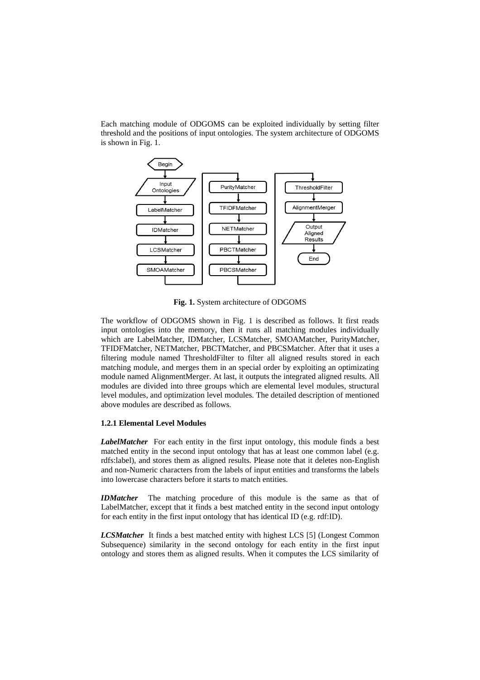Each matching module of ODGOMS can be exploited individually by setting filter threshold and the positions of input ontologies. The system architecture of ODGOMS is shown in Fig. 1.



**Fig. 1.** System architecture of ODGOMS

The workflow of ODGOMS shown in Fig. 1 is described as follows. It first reads input ontologies into the memory, then it runs all matching modules individually which are LabelMatcher, IDMatcher, LCSMatcher, SMOAMatcher, PurityMatcher, TFIDFMatcher, NETMatcher, PBCTMatcher, and PBCSMatcher. After that it uses a filtering module named ThresholdFilter to filter all aligned results stored in each matching module, and merges them in an special order by exploiting an optimizating module named AlignmentMerger. At last, it outputs the integrated aligned results. All modules are divided into three groups which are elemental level modules, structural level modules, and optimization level modules. The detailed description of mentioned above modules are described as follows.

### **1.2.1 Elemental Level Modules**

*LabelMatcher* For each entity in the first input ontology, this module finds a best matched entity in the second input ontology that has at least one common label (e.g. rdfs:label), and stores them as aligned results. Please note that it deletes non-English and non-Numeric characters from the labels of input entities and transforms the labels into lowercase characters before it starts to match entities.

*IDMatcher* The matching procedure of this module is the same as that of LabelMatcher, except that it finds a best matched entity in the second input ontology for each entity in the first input ontology that has identical ID (e.g. rdf:ID).

*LCSMatcher* It finds a best matched entity with highest LCS [5] (Longest Common Subsequence) similarity in the second ontology for each entity in the first input ontology and stores them as aligned results. When it computes the LCS similarity of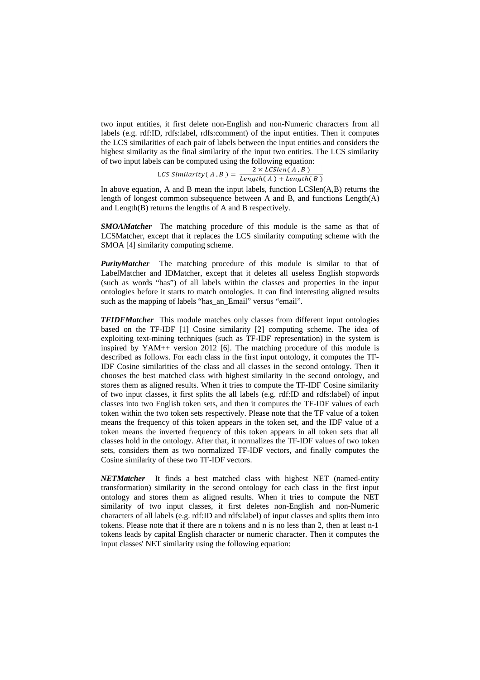two input entities, it first delete non-English and non-Numeric characters from all labels (e.g. rdf:ID, rdfs:label, rdfs:comment) of the input entities. Then it computes the LCS similarities of each pair of labels between the input entities and considers the highest similarity as the final similarity of the input two entities. The LCS similarity

of two input labels can be computed using the following equation:<br>LCS Similarity (A, B) =  $\frac{2 \times LCSlen(A, B)}{Length(A) + Length(B)}$ 

In above equation, A and B mean the input labels, function LCSlen(A,B) returns the length of longest common subsequence between A and B, and functions Length(A) and Length(B) returns the lengths of A and B respectively.

*SMOAMatcher* The matching procedure of this module is the same as that of LCSMatcher, except that it replaces the LCS similarity computing scheme with the SMOA [4] similarity computing scheme.

*PurityMatcher* The matching procedure of this module is similar to that of LabelMatcher and IDMatcher, except that it deletes all useless English stopwords (such as words "has") of all labels within the classes and properties in the input ontologies before it starts to match ontologies. It can find interesting aligned results such as the mapping of labels "has an Email" versus "email".

*TFIDFMatcher* This module matches only classes from different input ontologies based on the TF-IDF [1] Cosine similarity [2] computing scheme. The idea of exploiting text-mining techniques (such as TF-IDF representation) in the system is inspired by YAM++ version 2012 [6]. The matching procedure of this module is described as follows. For each class in the first input ontology, it computes the TF-IDF Cosine similarities of the class and all classes in the second ontology. Then it chooses the best matched class with highest similarity in the second ontology, and stores them as aligned results. When it tries to compute the TF-IDF Cosine similarity of two input classes, it first splits the all labels (e.g. rdf:ID and rdfs:label) of input classes into two English token sets, and then it computes the TF-IDF values of each token within the two token sets respectively. Please note that the TF value of a token means the frequency of this token appears in the token set, and the IDF value of a token means the inverted frequency of this token appears in all token sets that all classes hold in the ontology. After that, it normalizes the TF-IDF values of two token sets, considers them as two normalized TF-IDF vectors, and finally computes the Cosine similarity of these two TF-IDF vectors.

*NETMatcher* It finds a best matched class with highest NET (named-entity transformation) similarity in the second ontology for each class in the first input ontology and stores them as aligned results. When it tries to compute the NET similarity of two input classes, it first deletes non-English and non-Numeric characters of all labels (e.g. rdf:ID and rdfs:label) of input classes and splits them into tokens. Please note that if there are n tokens and n is no less than 2, then at least n-1 tokens leads by capital English character or numeric character. Then it computes the input classes' NET similarity using the following equation: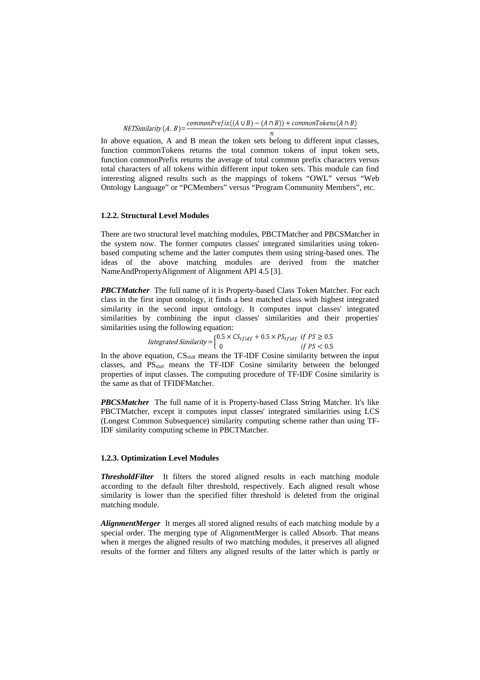*NETSimilarity*  $(A, B) = \frac{commonPrefix((A \cup B) - (A \cap B)) + commonToken(A \cap B)}{n}$ 

In above equation, A and B mean the token sets belong to different input classes, function commonTokens returns the total common tokens of input token sets, function commonPrefix returns the average of total common prefix characters versus total characters of all tokens within different input token sets. This module can find interesting aligned results such as the mappings of tokens "OWL" versus "Web Ontology Language" or "PCMembers" versus "Program Community Members", etc.

### **1.2.2. Structural Level Modules**

There are two structural level matching modules, PBCTMatcher and PBCSMatcher in the system now. The former computes classes' integrated similarities using tokenbased computing scheme and the latter computes them using string-based ones. The ideas of the above matching modules are derived from the matcher NameAndPropertyAlignment of Alignment API 4.5 [3].

*PBCTMatcher* The full name of it is Property-based Class Token Matcher. For each class in the first input ontology, it finds a best matched class with highest integrated similarity in the second input ontology. It computes input classes' integrated similarities by combining the input classes' similarities and their properties'

similarities using the following equation:<br> *Integrated Similarity* =  $\begin{cases} 0.5 \times CS_{tfidf} + 0.5 \times PS_{tfidf} & \text{if } PS \ge 0.5 \\ 0 & \text{if } PS < 0.5 \end{cases}$ if  $PS < 0.5$ 

In the above equation,  $CS_{\text{tfidf}}$  means the TF-IDF Cosine similarity between the input classes, and  $PS_{tfidf}$  means the TF-IDF Cosine similarity between the belonged properties of input classes. The computing procedure of TF-IDF Cosine similarity is the same as that of TFIDFMatcher.

*PBCSMatcher* The full name of it is Property-based Class String Matcher. It's like PBCTMatcher, except it computes input classes' integrated similarities using LCS (Longest Common Subsequence) similarity computing scheme rather than using TF-IDF similarity computing scheme in PBCTMatcher.

#### **1.2.3. Optimization Level Modules**

*ThresholdFilter* It filters the stored aligned results in each matching module according to the default filter threshold, respectively. Each aligned result whose similarity is lower than the specified filter threshold is deleted from the original matching module.

*AlignmentMerger* It merges all stored aligned results of each matching module by a special order. The merging type of AlignmentMerger is called Absorb. That means when it merges the aligned results of two matching modules, it preserves all aligned results of the former and filters any aligned results of the latter which is partly or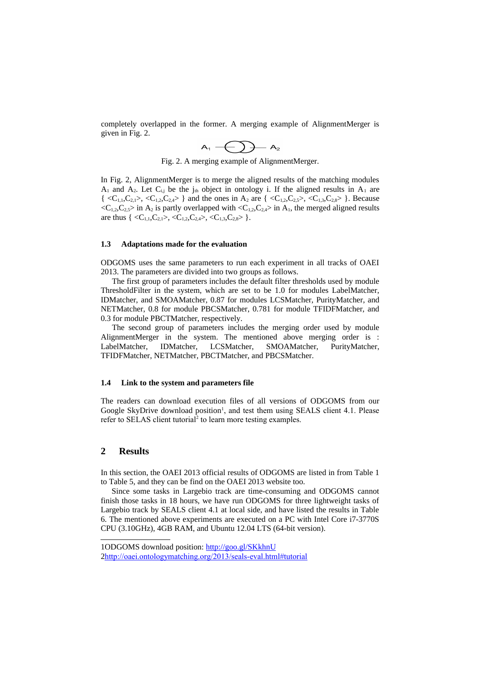completely overlapped in the former. A merging example of AlignmentMerger is given in Fig. 2.

$$
A_1 \longrightarrow \bigoplus -A_2
$$

Fig. 2. A merging example of AlignmentMerger.

In Fig. 2, AlignmentMerger is to merge the aligned results of the matching modules  $A_1$  and  $A_2$ . Let  $C_{i,j}$  be the j<sub>th</sub> object in ontology i. If the aligned results in  $A_1$  are  $\{ \langle C_{1,1}, C_{2,1} \rangle, \langle C_{1,2}, C_{2,4} \rangle \}$  and the ones in A<sub>2</sub> are  $\{ \langle C_{1,2}, C_{2,5} \rangle, \langle C_{1,3}, C_{2,8} \rangle \}$ . Because  $\langle C_{1,2}, C_{2,5}\rangle$  in A<sub>2</sub> is partly overlapped with  $\langle C_{1,2}, C_{2,4}\rangle$  in A<sub>1</sub>, the merged aligned results are thus  $\{ \langle C_{1,1}, C_{2,1} \rangle, \langle C_{1,2}, C_{2,4} \rangle, \langle C_{1,3}, C_{2,8} \rangle \}$ .

#### **1.3 Adaptations made for the evaluation**

ODGOMS uses the same parameters to run each experiment in all tracks of OAEI 2013. The parameters are divided into two groups as follows.

The first group of parameters includes the default filter thresholds used by module ThresholdFilter in the system, which are set to be 1.0 for modules LabelMatcher, IDMatcher, and SMOAMatcher, 0.87 for modules LCSMatcher, PurityMatcher, and NETMatcher, 0.8 for module PBCSMatcher, 0.781 for module TFIDFMatcher, and 0.3 for module PBCTMatcher, respectively.

The second group of parameters includes the merging order used by module AlignmentMerger in the system. The mentioned above merging order is : LabelMatcher, IDMatcher, LCSMatcher, SMOAMatcher, PurityMatcher, TFIDFMatcher, NETMatcher, PBCTMatcher, and PBCSMatcher.

#### **1.4 Link to the system and parameters file**

The readers can download execution files of all versions of ODGOMS from our Google SkyDrive download position<sup>[1](#page-4-0)</sup>, and test them using SEALS client 4.1. Please refer to SELAS client tutorial<sup>[2](#page-4-1)</sup> to learn more testing examples.

# **2 Results**

In this section, the OAEI 2013 official results of ODGOMS are listed in from Table 1 to Table 5, and they can be find on the OAEI 2013 website too.

Since some tasks in Largebio track are time-consuming and ODGOMS cannot finish those tasks in 18 hours, we have run ODGOMS for three lightweight tasks of Largebio track by SEALS client 4.1 at local side, and have listed the results in Table 6. The mentioned above experiments are executed on a PC with Intel Core i7-3770S CPU (3.10GHz), 4GB RAM, and Ubuntu 12.04 LTS (64-bit version).

<span id="page-4-1"></span><span id="page-4-0"></span><sup>1</sup>ODGOMS download position:<http://goo.gl/SKkhnU> 2<http://oaei.ontologymatching.org/2013/seals-eval.html#tutorial>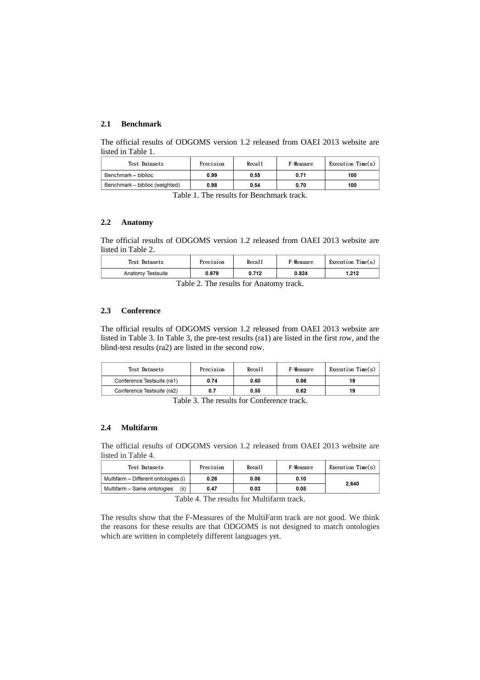## **2.1 Benchmark**

The official results of ODGOMS version 1.2 released from OAEI 2013 website are listed in Table 1.

| Test Datasets                  | Precision | Recal1 | F-Measure | Execution Time(s) |
|--------------------------------|-----------|--------|-----------|-------------------|
| Benchmark - biblioc            | 0.99      | 0.55   | 0.71      | 100               |
| Benchmark – biblioc (weighted) | 0.98      | 0.54   | 0.70      | 100               |

Table 1. The results for Benchmark track.

### **2.2 Anatomy**

The official results of ODGOMS version 1.2 released from OAEI 2013 website are listed in Table 2.

| Test Datasets     | Precision | Recal1 | F-Measure | Execution Time(s) |
|-------------------|-----------|--------|-----------|-------------------|
| Anatomy Testsuite | 0.979     | 0.712  | 0.824     | 1.212             |
| $\sim$ $\sim$     |           |        |           |                   |

Table 2. The results for Anatomy track.

#### **2.3 Conference**

The official results of ODGOMS version 1.2 released from OAEI 2013 website are listed in Table 3. In Table 3, the pre-test results (ra1) are listed in the first row, and the blind-test results (ra2) are listed in the second row.

| Test Datasets              | Precision | Recall | F-Measure | Execution $Time(s)$ |
|----------------------------|-----------|--------|-----------|---------------------|
| Conference Testsuite (ra1) | 0.74      | 0.60   | 0.66      | 19                  |
| Conference Testsuite (ra2) | 0.7       | 0.55   | 0.62      | 19                  |

Table 3. The results for Conference track.

#### **2.4 Multifarm**

The official results of ODGOMS version 1.2 released from OAEI 2013 website are listed in Table 4.

| Test Datasets                        | Precision | Recal <sub>1</sub> | F-Measure | Execution Time(s) |
|--------------------------------------|-----------|--------------------|-----------|-------------------|
| Multifarm - Different ontologies (i) | 0.26      | 0.06               | 0.10      | 2,640             |
| (ii)<br>Multifarm - Same ontologies  | 0.47      | 0.03               | 0.05      |                   |

Table 4. The results for Multifarm track.

The results show that the F-Measures of the MultiFarm track are not good. We think the reasons for these results are that ODGOMS is not designed to match ontologies which are written in completely different languages yet.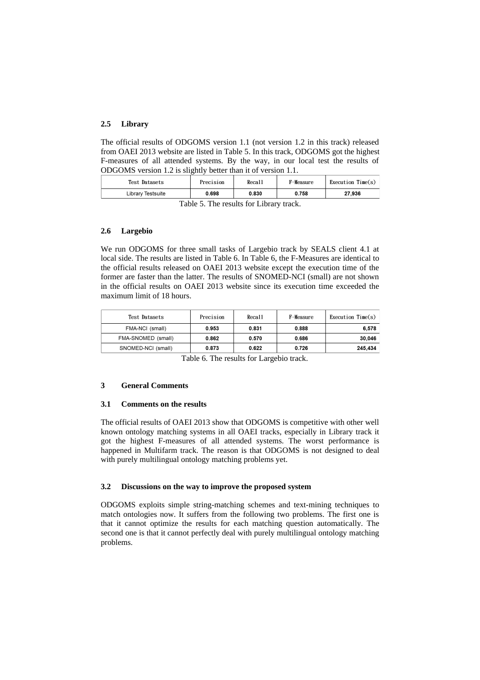# **2.5 Library**

The official results of ODGOMS version 1.1 (not version 1.2 in this track) released from OAEI 2013 website are listed in Table 5. In this track, ODGOMS got the highest F-measures of all attended systems. By the way, in our local test the results of ODGOMS version 1.2 is slightly better than it of version 1.1.

|                            |       | F-Measure | Execution Time(s) |
|----------------------------|-------|-----------|-------------------|
| 0.698<br>Library Testsuite | 0.830 | 0.758     | 27.936            |

Table 5. The results for Library track.

### **2.6 Largebio**

We run ODGOMS for three small tasks of Largebio track by SEALS client 4.1 at local side. The results are listed in Table 6. In Table 6, the F-Measures are identical to the official results released on OAEI 2013 website except the execution time of the former are faster than the latter. The results of SNOMED-NCI (small) are not shown in the official results on OAEI 2013 website since its execution time exceeded the maximum limit of 18 hours.

| Test Datasets      | Precision | Recall | F-Measure | Execution $Time(s)$ |
|--------------------|-----------|--------|-----------|---------------------|
| FMA-NCI (small)    | 0.953     | 0.831  | 0.888     | 6,578               |
| FMA-SNOMED (small) | 0.862     | 0.570  | 0.686     | 30.046              |
| SNOMED-NCI (small) | 0.873     | 0.622  | 0.726     | 245,434             |

Table 6. The results for Largebio track.

### **3 General Comments**

### **3.1 Comments on the results**

The official results of OAEI 2013 show that ODGOMS is competitive with other well known ontology matching systems in all OAEI tracks, especially in Library track it got the highest F-measures of all attended systems. The worst performance is happened in Multifarm track. The reason is that ODGOMS is not designed to deal with purely multilingual ontology matching problems yet.

### **3.2 Discussions on the way to improve the proposed system**

ODGOMS exploits simple string-matching schemes and text-mining techniques to match ontologies now. It suffers from the following two problems. The first one is that it cannot optimize the results for each matching question automatically. The second one is that it cannot perfectly deal with purely multilingual ontology matching problems.